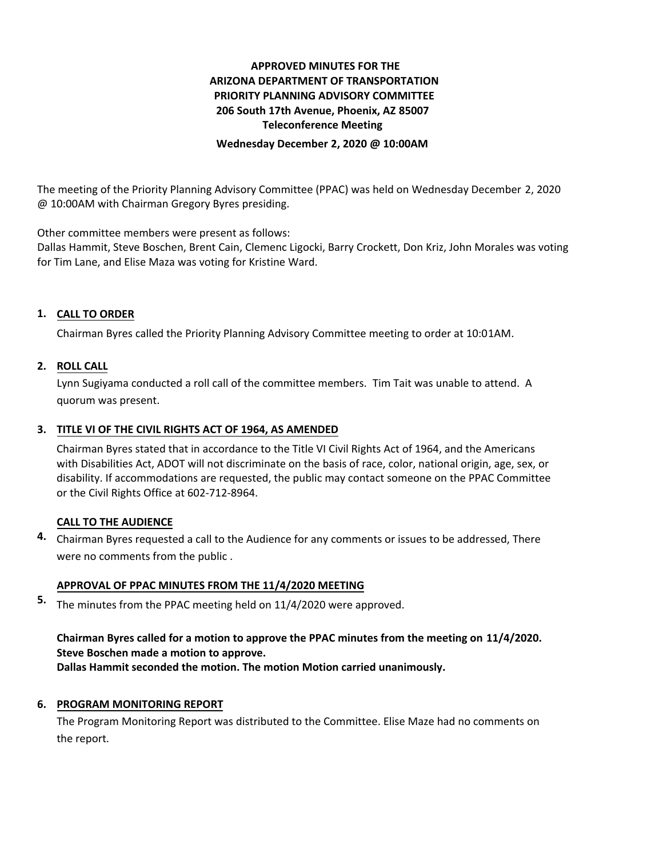## **APPROVED MINUTES FOR THE ARIZONA DEPARTMENT OF TRANSPORTATION PRIORITY PLANNING ADVISORY COMMITTEE 206 South 17th Avenue, Phoenix, AZ 85007 Teleconference Meeting**

**Wednesday December 2, 2020 @ 10:00AM**

The meeting of the Priority Planning Advisory Committee (PPAC) was held on Wednesday December 2, 2020 @ 10:00AM with Chairman Gregory Byres presiding.

Other committee members were present as follows:

Dallas Hammit, Steve Boschen, Brent Cain, Clemenc Ligocki, Barry Crockett, Don Kriz, John Morales was voting for Tim Lane, and Elise Maza was voting for Kristine Ward.

## **CALL TO ORDER 1.**

Chairman Byres called the Priority Planning Advisory Committee meeting to order at 10:01AM.

### **ROLL CALL 2.**

Lynn Sugiyama conducted a roll call of the committee members. Tim Tait was unable to attend. A quorum was present.

## **TITLE VI OF THE CIVIL RIGHTS ACT OF 1964, AS AMENDED 3.**

Chairman Byres stated that in accordance to the Title VI Civil Rights Act of 1964, and the Americans with Disabilities Act, ADOT will not discriminate on the basis of race, color, national origin, age, sex, or disability. If accommodations are requested, the public may contact someone on the PPAC Committee or the Civil Rights Office at 602-712-8964.

### **CALL TO THE AUDIENCE**

Chairman Byres requested a call to the Audience for any comments or issues to be addressed, There **4.** were no comments from the public .

### **APPROVAL OF PPAC MINUTES FROM THE 11/4/2020 MEETING**

5. The minutes from the PPAC meeting held on 11/4/2020 were approved.

# **Chairman Byres called for a motion to approve the PPAC minutes from the meeting on 11/4/2020. Steve Boschen made a motion to approve.**

**Dallas Hammit seconded the motion. The motion Motion carried unanimously.**

## **6. PROGRAM MONITORING REPORT**

The Program Monitoring Report was distributed to the Committee. Elise Maze had no comments on the report.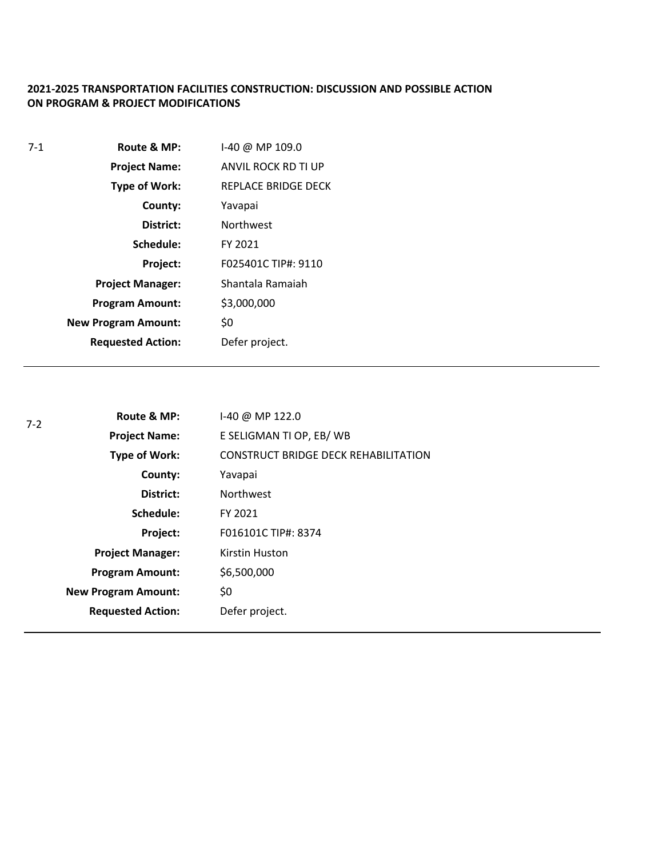## **2021-2025 TRANSPORTATION FACILITIES CONSTRUCTION: DISCUSSION AND POSSIBLE ACTION ON PROGRAM & PROJECT MODIFICATIONS**

| $7 - 1$ | Route & MP:                | $1-40 @ MP 109.0$   |
|---------|----------------------------|---------------------|
|         | <b>Project Name:</b>       | ANVIL ROCK RD TI UP |
|         | <b>Type of Work:</b>       | REPLACE BRIDGE DECK |
|         | County:                    | Yavapai             |
|         | District:                  | <b>Northwest</b>    |
|         | Schedule:                  | FY 2021             |
|         | Project:                   | F025401C TIP#: 9110 |
|         | <b>Project Manager:</b>    | Shantala Ramaiah    |
|         | <b>Program Amount:</b>     | \$3,000,000         |
|         | <b>New Program Amount:</b> | \$0                 |
|         | <b>Requested Action:</b>   | Defer project.      |

| $7-2$ | Route & MP:                | 1-40 @ MP 122.0                             |
|-------|----------------------------|---------------------------------------------|
|       | <b>Project Name:</b>       | E SELIGMAN TI OP, EB/WB                     |
|       | Type of Work:              | <b>CONSTRUCT BRIDGE DECK REHABILITATION</b> |
|       | County:                    | Yavapai                                     |
|       | District:                  | <b>Northwest</b>                            |
|       | Schedule:                  | FY 2021                                     |
|       | Project:                   | F016101C TIP#: 8374                         |
|       | <b>Project Manager:</b>    | Kirstin Huston                              |
|       | <b>Program Amount:</b>     | \$6,500,000                                 |
|       | <b>New Program Amount:</b> | \$0                                         |
|       | <b>Requested Action:</b>   | Defer project.                              |
|       |                            |                                             |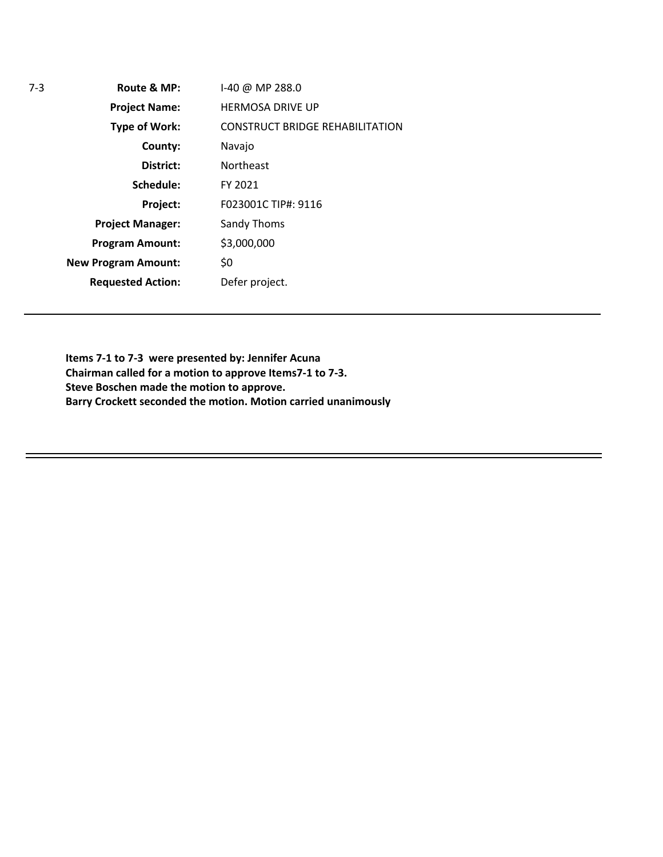| Route & MP:                | $1-40$ @ MP 288.0                      |
|----------------------------|----------------------------------------|
| <b>Project Name:</b>       | <b>HERMOSA DRIVE UP</b>                |
| <b>Type of Work:</b>       | <b>CONSTRUCT BRIDGE REHABILITATION</b> |
| County:                    | Navajo                                 |
| District:                  | <b>Northeast</b>                       |
| Schedule:                  | FY 2021                                |
| Project:                   | F023001C TIP#: 9116                    |
| <b>Project Manager:</b>    | Sandy Thoms                            |
| <b>Program Amount:</b>     | \$3,000,000                            |
| <b>New Program Amount:</b> | \$0                                    |
| <b>Requested Action:</b>   | Defer project.                         |
|                            |                                        |

7-3 **Route & MP:**

**Items 7-1 to 7-3 were presented by: Jennifer Acuna Chairman called for a motion to approve Items7-1 to 7-3. Steve Boschen made the motion to approve. Barry Crockett seconded the motion. Motion carried unanimously**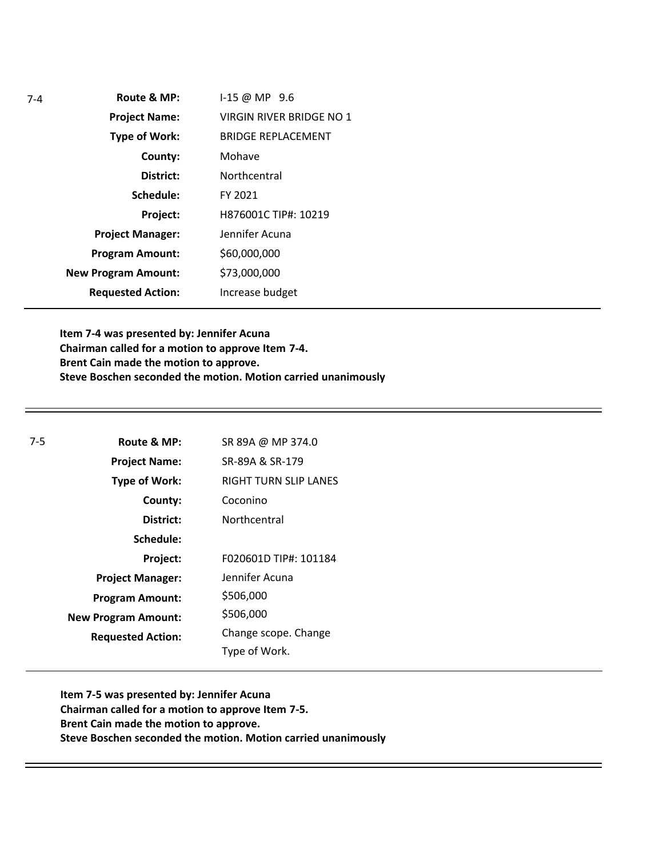| $7-4$ | Route & MP:                | $1-15 \omega$ MP 9.6      |
|-------|----------------------------|---------------------------|
|       | <b>Project Name:</b>       | VIRGIN RIVER BRIDGE NO 1  |
|       | <b>Type of Work:</b>       | <b>BRIDGE REPLACEMENT</b> |
|       | County:                    | Mohave                    |
|       | District:                  | Northcentral              |
|       | Schedule:                  | FY 2021                   |
|       | Project:                   | H876001C TIP#: 10219      |
|       | <b>Project Manager:</b>    | Jennifer Acuna            |
|       | <b>Program Amount:</b>     | \$60,000,000              |
|       | <b>New Program Amount:</b> | \$73,000,000              |
|       | <b>Requested Action:</b>   | Increase budget           |
|       |                            |                           |

**Item 7-4 was presented by: Jennifer Acuna Chairman called for a motion to approve Item 7-4. Brent Cain made the motion to approve. Steve Boschen seconded the motion. Motion carried unanimously**

| $7-5$ | Route & MP:                | SR 89A @ MP 374.0     |
|-------|----------------------------|-----------------------|
|       | <b>Project Name:</b>       | SR-89A & SR-179       |
|       | <b>Type of Work:</b>       | RIGHT TURN SLIP LANES |
|       | County:                    | Coconino              |
|       | District:                  | Northcentral          |
|       | Schedule:                  |                       |
|       | Project:                   | F020601D TIP#: 101184 |
|       | <b>Project Manager:</b>    | Jennifer Acuna        |
|       | <b>Program Amount:</b>     | \$506,000             |
|       | <b>New Program Amount:</b> | \$506,000             |
|       | <b>Requested Action:</b>   | Change scope. Change  |
|       |                            | Type of Work.         |

**Item 7-5 was presented by: Jennifer Acuna Chairman called for a motion to approve Item 7-5. Brent Cain made the motion to approve. Steve Boschen seconded the motion. Motion carried unanimously**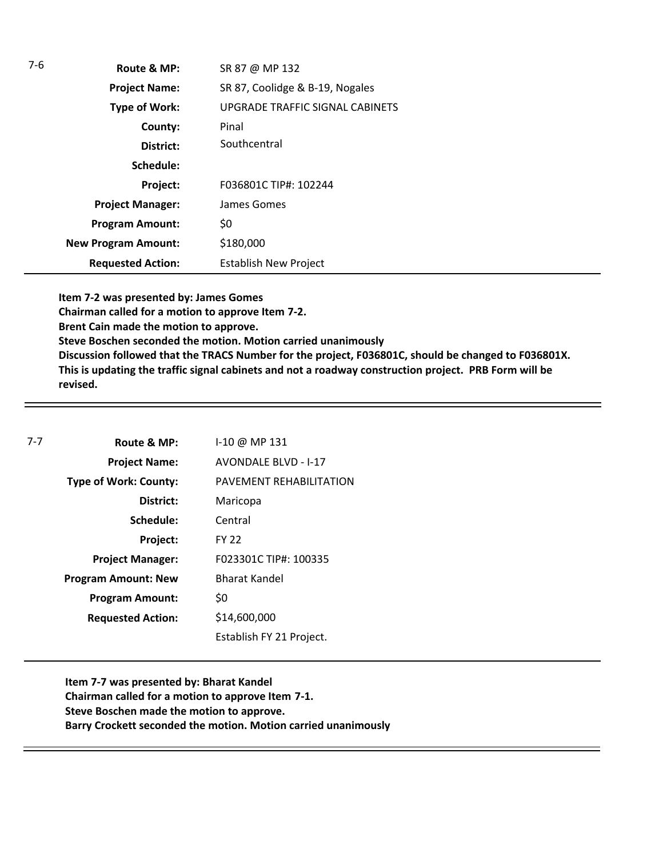| 7-6 | Route & MP:                | SR 87 @ MP 132                  |
|-----|----------------------------|---------------------------------|
|     | <b>Project Name:</b>       | SR 87, Coolidge & B-19, Nogales |
|     | Type of Work:              | UPGRADE TRAFFIC SIGNAL CABINETS |
|     | County:                    | Pinal                           |
|     | District:                  | Southcentral                    |
|     | Schedule:                  |                                 |
|     | Project:                   | F036801C TIP#: 102244           |
|     | <b>Project Manager:</b>    | James Gomes                     |
|     | <b>Program Amount:</b>     | \$0                             |
|     | <b>New Program Amount:</b> | \$180,000                       |
|     | <b>Requested Action:</b>   | <b>Establish New Project</b>    |

**Item 7-2 was presented by: James Gomes Chairman called for a motion to approve Item 7-2. Brent Cain made the motion to approve. Steve Boschen seconded the motion. Motion carried unanimously Discussion followed that the TRACS Number for the project, F036801C, should be changed to F036801X. This is updating the traffic signal cabinets and not a roadway construction project. PRB Form will be revised.** 

| $7 - 7$ | Route & MP:                  | I-10 @ MP 131               |
|---------|------------------------------|-----------------------------|
|         | <b>Project Name:</b>         | <b>AVONDALE BLVD - I-17</b> |
|         | <b>Type of Work: County:</b> | PAVEMENT REHABILITATION     |
|         | District:                    | Maricopa                    |
|         | Schedule:                    | Central                     |
|         | Project:                     | <b>FY 22</b>                |
|         | <b>Project Manager:</b>      | F023301C TIP#: 100335       |
|         | <b>Program Amount: New</b>   | Bharat Kandel               |
|         | <b>Program Amount:</b>       | \$0                         |
|         | <b>Requested Action:</b>     | \$14,600,000                |
|         |                              | Establish FY 21 Project.    |

**Item 7-7 was presented by: Bharat Kandel Chairman called for a motion to approve Item 7-1. Steve Boschen made the motion to approve. Barry Crockett seconded the motion. Motion carried unanimously**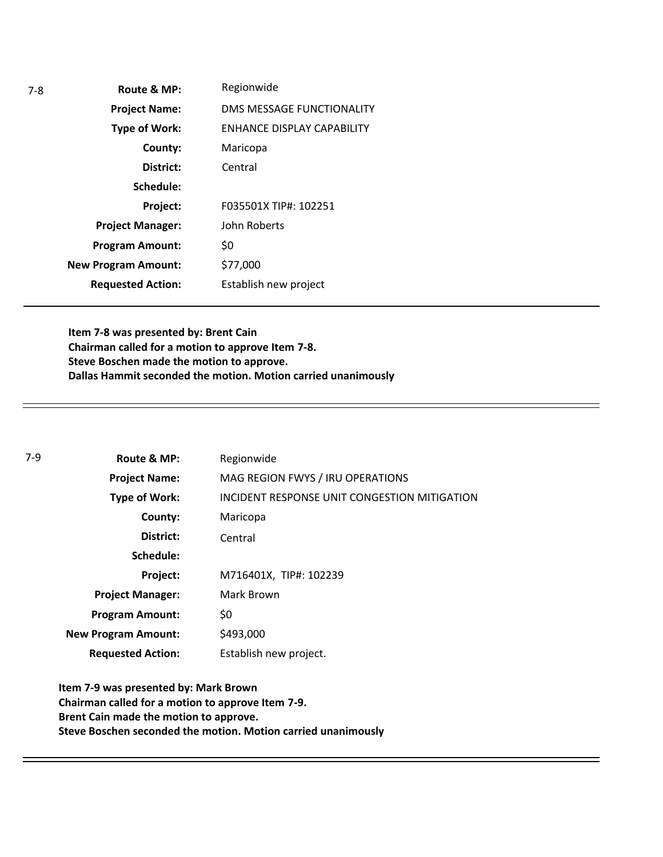| $7-8$ | Route & MP:                | Regionwide                       |
|-------|----------------------------|----------------------------------|
|       | <b>Project Name:</b>       | <b>DMS MESSAGE FUNCTIONALITY</b> |
|       | <b>Type of Work:</b>       | ENHANCE DISPLAY CAPABILITY       |
|       | County:                    | Maricopa                         |
|       | District:                  | Central                          |
|       | Schedule:                  |                                  |
|       | Project:                   | F035501X TIP#: 102251            |
|       | <b>Project Manager:</b>    | John Roberts                     |
|       | <b>Program Amount:</b>     | \$0                              |
|       | <b>New Program Amount:</b> | \$77,000                         |
|       | <b>Requested Action:</b>   | Establish new project            |

**Item 7-8 was presented by: Brent Cain Chairman called for a motion to approve Item 7-8. Steve Boschen made the motion to approve. Dallas Hammit seconded the motion. Motion carried unanimously**

| 7-9 | Route & MP:                | Regionwide                                   |
|-----|----------------------------|----------------------------------------------|
|     | <b>Project Name:</b>       | MAG REGION FWYS / IRU OPERATIONS             |
|     | Type of Work:              | INCIDENT RESPONSE UNIT CONGESTION MITIGATION |
|     | County:                    | Maricopa                                     |
|     | District:                  | Central                                      |
|     | Schedule:                  |                                              |
|     | Project:                   | M716401X, TIP#: 102239                       |
|     | <b>Project Manager:</b>    | Mark Brown                                   |
|     | <b>Program Amount:</b>     | \$0                                          |
|     | <b>New Program Amount:</b> | \$493,000                                    |
|     | <b>Requested Action:</b>   | Establish new project.                       |

**Item 7-9 was presented by: Mark Brown Chairman called for a motion to approve Item 7-9. Brent Cain made the motion to approve. Steve Boschen seconded the motion. Motion carried unanimously**